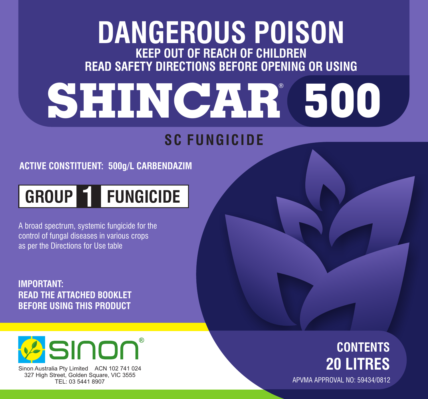## **KEEP OUT OF REACH OF CHILDREN READ SAFETY DIRECTIONS BEFORE OPENING OR USING DANGEROUS POISON**

# **SHINCAR 500** ®

### **SC FUNGICIDE**

**ACTIVE CONSTITUENT: 500g/L CARBENDAZIM**

## **GROUP 1 FUNGICIDE**

A broad spectrum, systemic fungicide for the control of fungal diseases in various crops as per the Directions for Use table

**IMPORTANT: READ THE ATTACHED BOOKLET BEFORE USING THIS PRODUCT**



Sinon Australia Pty Limited ACN 102 741 024 327 High Street, Golden Square, VIC 3555 TEL: 03 5441 8907

#### **CONTENTS 20 LITRES** APVMA APPROVAL NO: 59434/0812